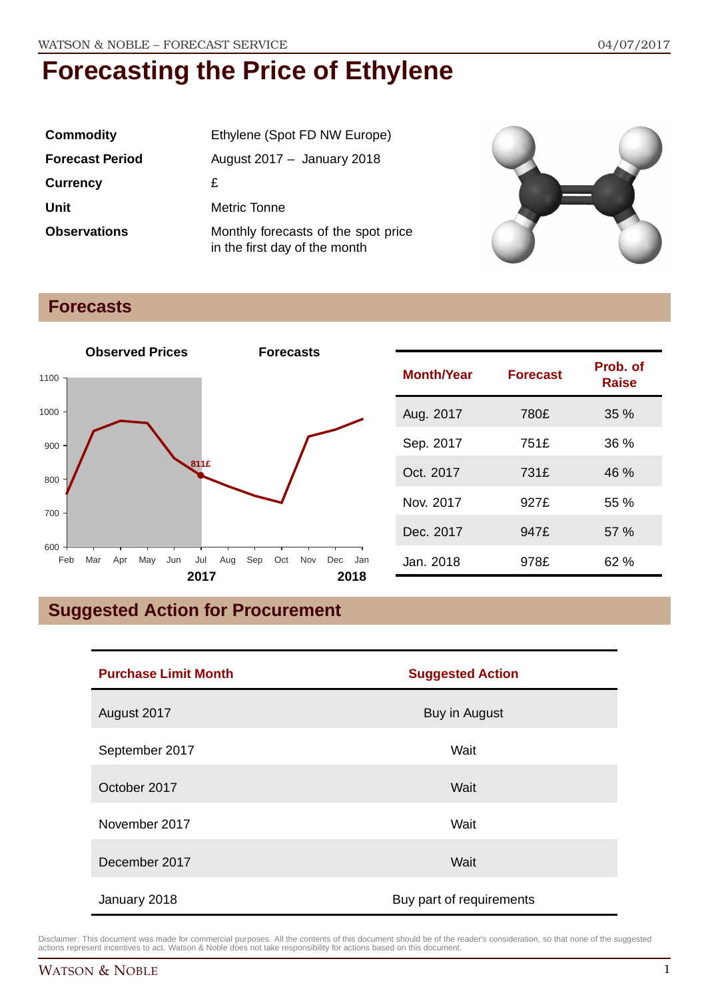| <b>Commodity</b>       | Ethylene (Spot FD NW Europe)                                         |
|------------------------|----------------------------------------------------------------------|
| <b>Forecast Period</b> | August $2017 -$ January 2018                                         |
| <b>Currency</b>        | £                                                                    |
| Unit                   | Metric Tonne                                                         |
| <b>Observations</b>    | Monthly forecasts of the spot price<br>in the first day of the month |



## **Forecasts**



## **Suggested Action for Procurement**

| <b>Purchase Limit Month</b> | <b>Suggested Action</b>  |
|-----------------------------|--------------------------|
| August 2017                 | Buy in August            |
| September 2017              | Wait                     |
| October 2017                | Wait                     |
| November 2017               | Wait                     |
| December 2017               | Wait                     |
| January 2018                | Buy part of requirements |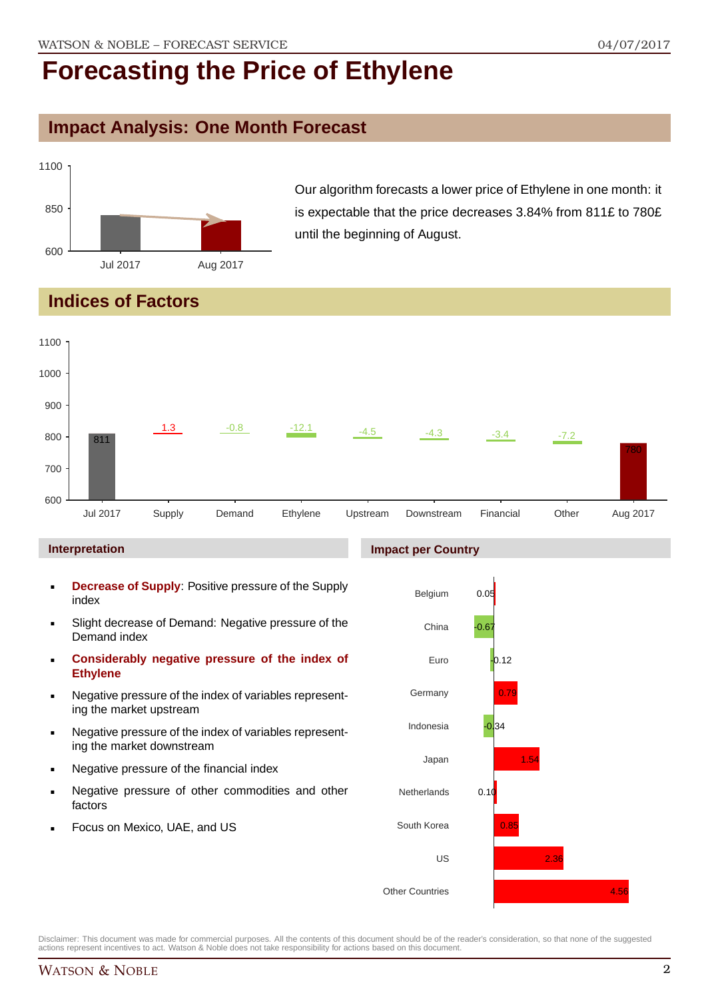### **Impact Analysis: One Month Forecast**



Our algorithm forecasts a lower price of Ethylene in one month: it is expectable that the price decreases 3.84% from 811£ to 780£ until the beginning of August.

### **Indices of Factors**



#### **Interpretation**

- **Decrease of Supply**: Positive pressure of the Supply index
- Slight decrease of Demand: Negative pressure of the Demand index
- **Considerably negative pressure of the index of Ethylene**
- Negative pressure of the index of variables representing the market upstream
- Negative pressure of the index of variables representing the market downstream
- Negative pressure of the financial index
- Negative pressure of other commodities and other factors
- Focus on Mexico, UAE, and US

#### **Impact per Country**

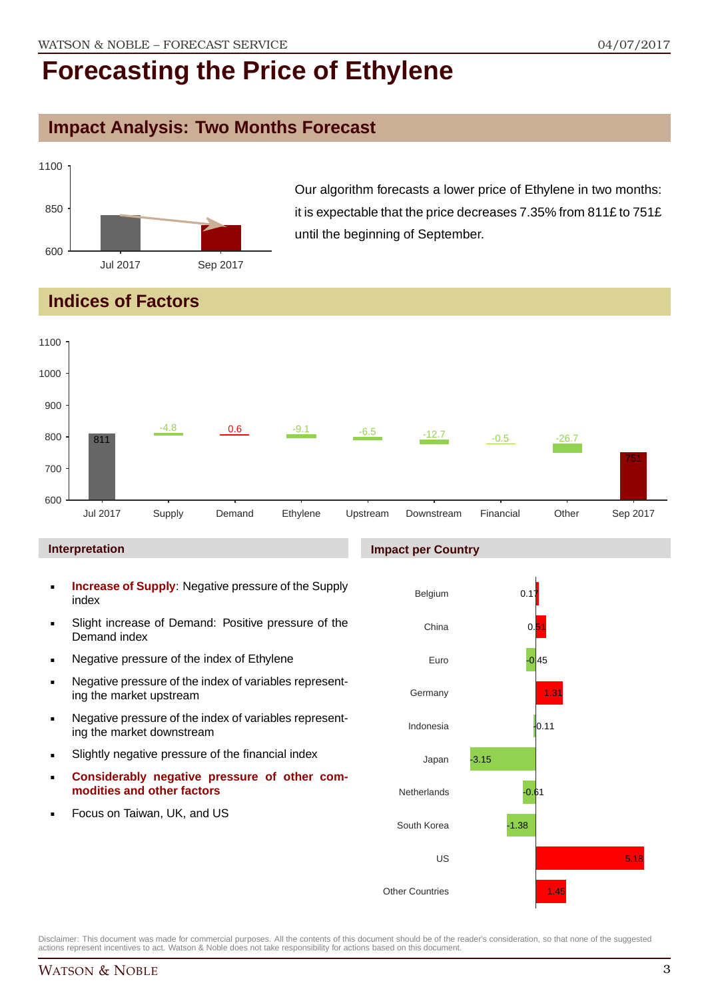### **Impact Analysis: Two Months Forecast**



Our algorithm forecasts a lower price of Ethylene in two months: it is expectable that the price decreases 7.35% from 811£ to 751£ until the beginning of September.

## **Indices of Factors**



#### **Interpretation**

- **Increase of Supply**: Negative pressure of the Supply index
- Slight increase of Demand: Positive pressure of the Demand index
- **Negative pressure of the index of Ethylene**
- Negative pressure of the index of variables representing the market upstream
- Negative pressure of the index of variables representing the market downstream
- Slightly negative pressure of the financial index
- **Considerably negative pressure of other commodities and other factors**
- Focus on Taiwan, UK, and US

# Belgium

**Impact per Country**

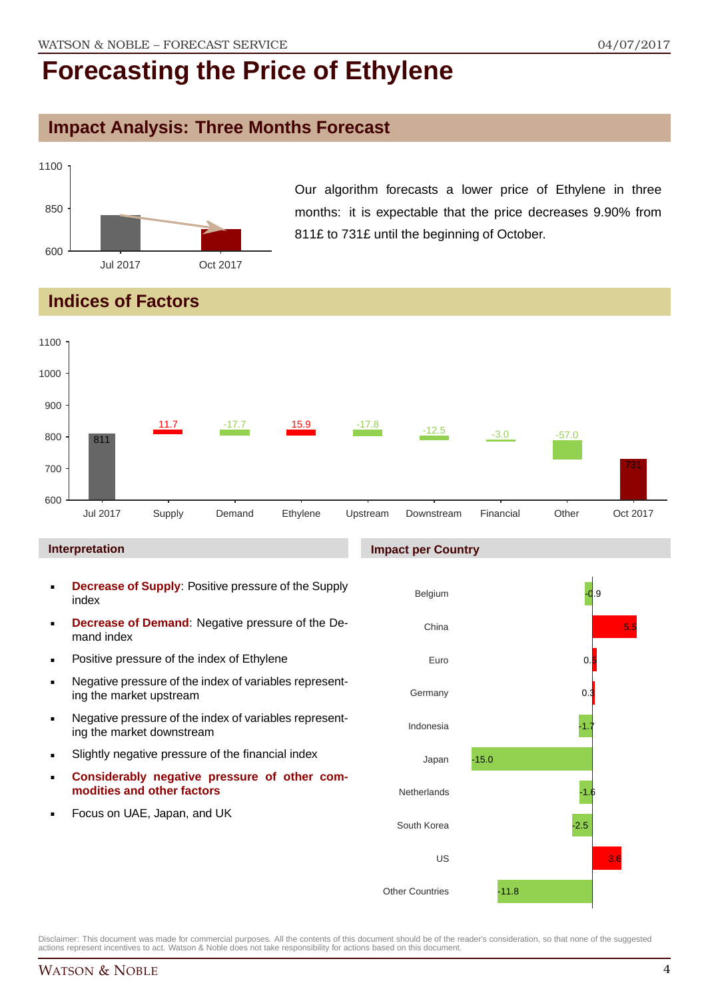## **Impact Analysis: Three Months Forecast**



Our algorithm forecasts a lower price of Ethylene in three months: it is expectable that the price decreases 9.90% from 811£ to 731£ until the beginning of October.

## **Indices of Factors**



#### **Interpretation**

- **Decrease of Supply**: Positive pressure of the Supply index
- **Decrease of Demand**: Negative pressure of the Demand index
- **Positive pressure of the index of Ethylene**
- Negative pressure of the index of variables representing the market upstream
- Negative pressure of the index of variables representing the market downstream
- Slightly negative pressure of the financial index
- **Considerably negative pressure of other commodities and other factors**
- Focus on UAE, Japan, and UK

#### **Impact per Country**

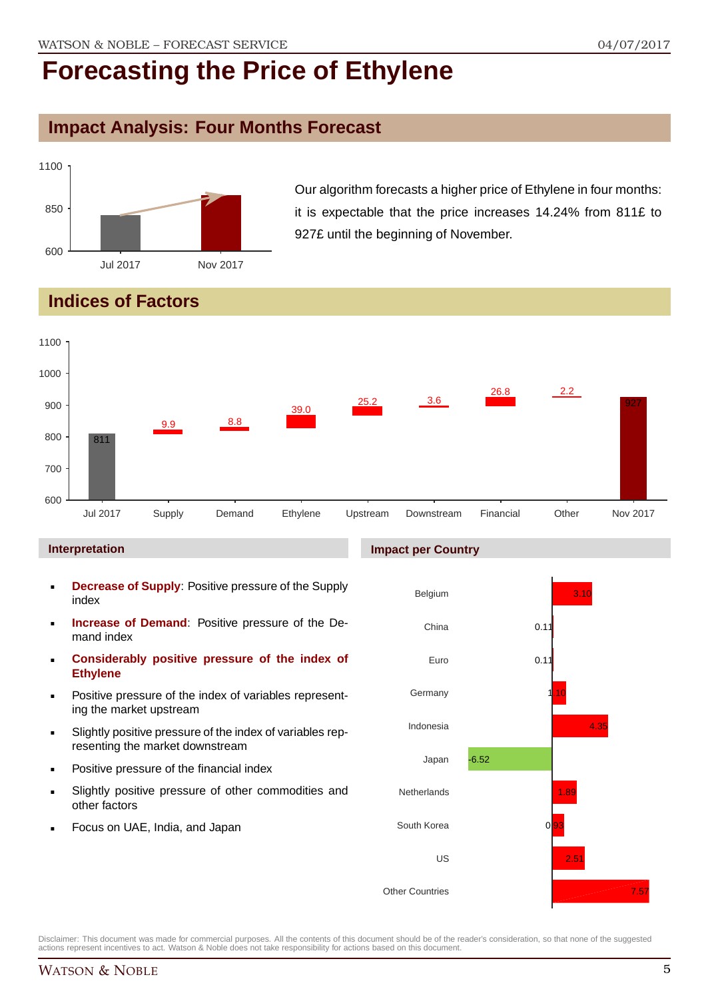## **Impact Analysis: Four Months Forecast**



Our algorithm forecasts a higher price of Ethylene in four months: it is expectable that the price increases 14.24% from 811£ to 927£ until the beginning of November.

## **Indices of Factors**



#### **Interpretation**

- **Decrease of Supply**: Positive pressure of the Supply index
- **Increase of Demand**: Positive pressure of the Demand index
- **Considerably positive pressure of the index of Ethylene**
- Positive pressure of the index of variables representing the market upstream
- Slightly positive pressure of the index of variables representing the market downstream
- Positive pressure of the financial index
- Slightly positive pressure of other commodities and other factors
- Focus on UAE, India, and Japan

#### **Impact per Country**

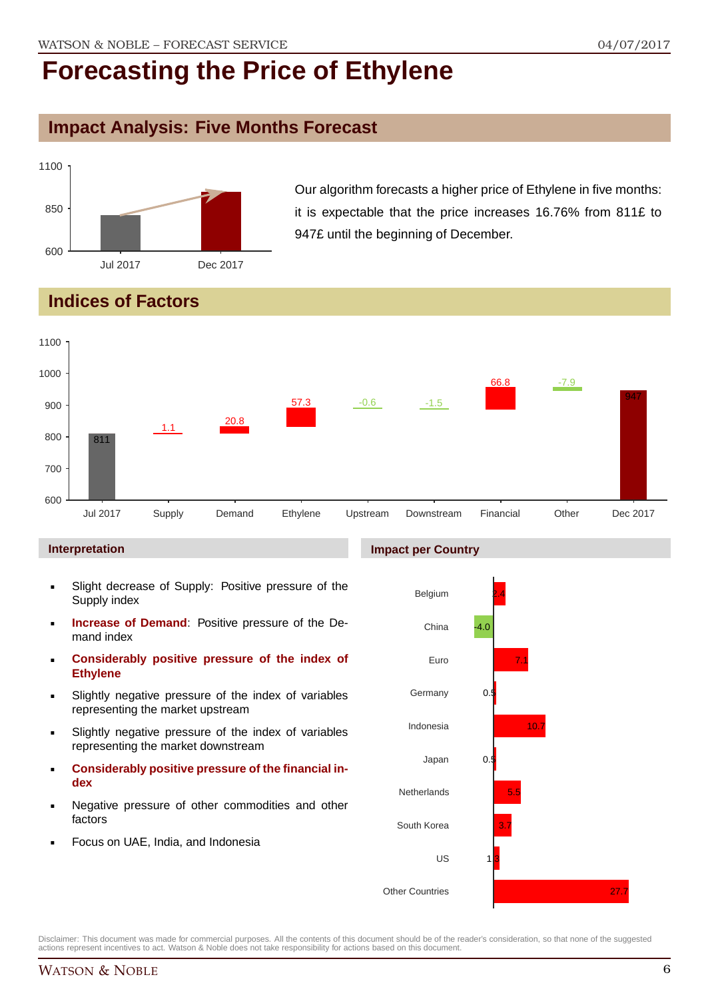## **Impact Analysis: Five Months Forecast**

![](_page_5_Figure_3.jpeg)

Our algorithm forecasts a higher price of Ethylene in five months: it is expectable that the price increases 16.76% from 811£ to 947£ until the beginning of December.

## **Indices of Factors**

![](_page_5_Figure_6.jpeg)

#### **Interpretation**

- Slight decrease of Supply: Positive pressure of the Supply index
- **Increase of Demand**: Positive pressure of the Demand index
- **Considerably positive pressure of the index of Ethylene**
- Slightly negative pressure of the index of variables representing the market upstream
- Slightly negative pressure of the index of variables representing the market downstream
- **Considerably positive pressure of the financial index**
- Negative pressure of other commodities and other factors
- Focus on UAE, India, and Indonesia

![](_page_5_Figure_16.jpeg)

Disclaimer: This document was made for commercial purposes. All the contents of this document should be of the reader's consideration, so that none of the suggested actions represent incentives to act. Watson & Noble does not take responsibility for actions based on this document.

#### **Impact per Country**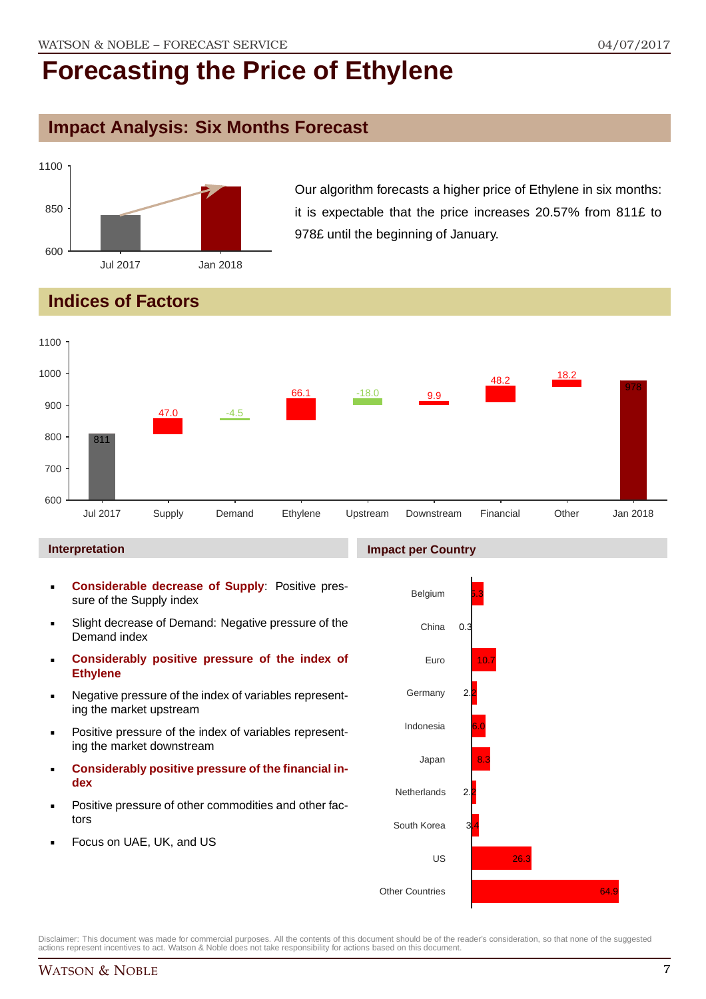## **Impact Analysis: Six Months Forecast**

![](_page_6_Figure_3.jpeg)

Our algorithm forecasts a higher price of Ethylene in six months: it is expectable that the price increases 20.57% from 811£ to 978£ until the beginning of January.

## **Indices of Factors**

![](_page_6_Figure_6.jpeg)

#### **Interpretation**

- **Considerable decrease of Supply**: Positive pressure of the Supply index
- Slight decrease of Demand: Negative pressure of the Demand index
- **Considerably positive pressure of the index of Ethylene**
- Negative pressure of the index of variables representing the market upstream
- Positive pressure of the index of variables representing the market downstream
- **Considerably positive pressure of the financial index**
- Positive pressure of other commodities and other factors
- Focus on UAE, UK, and US

![](_page_6_Figure_16.jpeg)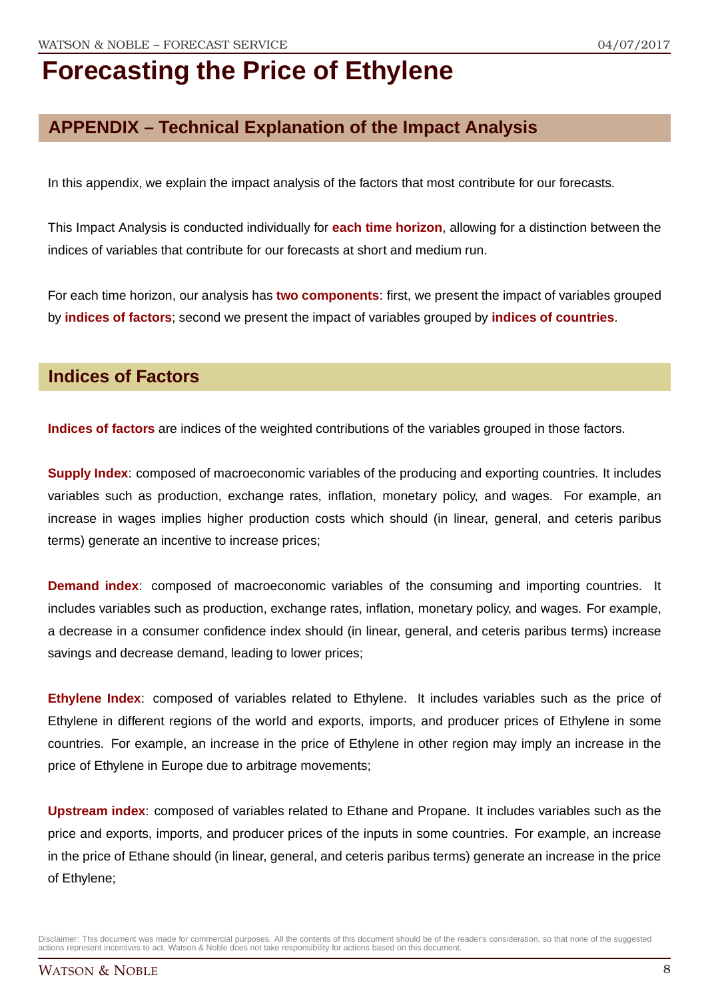## **APPENDIX – Technical Explanation of the Impact Analysis**

In this appendix, we explain the impact analysis of the factors that most contribute for our forecasts.

This Impact Analysis is conducted individually for **each time horizon**, allowing for a distinction between the indices of variables that contribute for our forecasts at short and medium run.

For each time horizon, our analysis has **two components**: first, we present the impact of variables grouped by **indices of factors**; second we present the impact of variables grouped by **indices of countries**.

### **Indices of Factors**

**Indices of factors** are indices of the weighted contributions of the variables grouped in those factors.

**Supply Index:** composed of macroeconomic variables of the producing and exporting countries. It includes variables such as production, exchange rates, inflation, monetary policy, and wages. For example, an increase in wages implies higher production costs which should (in linear, general, and ceteris paribus terms) generate an incentive to increase prices;

**Demand index**: composed of macroeconomic variables of the consuming and importing countries. It includes variables such as production, exchange rates, inflation, monetary policy, and wages. For example, a decrease in a consumer confidence index should (in linear, general, and ceteris paribus terms) increase savings and decrease demand, leading to lower prices;

**Ethylene Index**: composed of variables related to Ethylene. It includes variables such as the price of Ethylene in different regions of the world and exports, imports, and producer prices of Ethylene in some countries. For example, an increase in the price of Ethylene in other region may imply an increase in the price of Ethylene in Europe due to arbitrage movements;

**Upstream index**: composed of variables related to Ethane and Propane. It includes variables such as the price and exports, imports, and producer prices of the inputs in some countries. For example, an increase in the price of Ethane should (in linear, general, and ceteris paribus terms) generate an increase in the price of Ethylene;